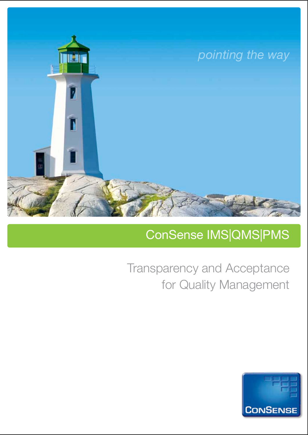

# ConSense IMS|QMS|PMS

Transparency and Acceptance for Quality Management

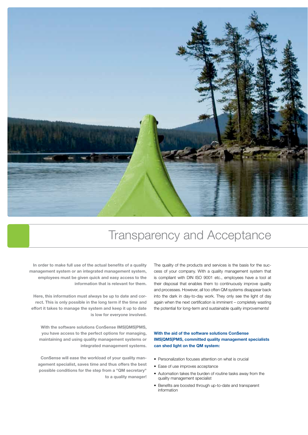

# Transparency and Acceptance

**In order to make full use of the actual benefits of a quality management system or an integrated management system, employees must be given quick and easy access to the information that is relevant for them.**

**Here, this information must always be up to date and correct. This is only possible in the long term if the time and effort it takes to manage the system and keep it up to date is low for everyone involved.**

**With the software solutions ConSense IMS|QMS|PMS, you have access to the perfect options for managing, maintaining and using quality management systems or integrated management systems.**

**ConSense will ease the workload of your quality management specialist, saves time and thus offers the best possible conditions for the step from a "QM secretary" to a quality manager!** The quality of the products and services is the basis for the success of your company. With a quality management system that is compliant with DIN ISO 9001 etc., employees have a tool at their disposal that enables them to continuously improve quality and processes. However, all too often QM systems disappear back into the dark in day-to-day work. They only see the light of day again when the next certification is imminent – completely wasting the potential for long-term and sustainable quality improvements!

# **With the aid of the software solutions ConSense IMS|QMS|PMS, committed quality management specialists can shed light on the QM system:**

- Personalization focuses attention on what is crucial
- Ease of use improves acceptance
- Automation takes the burden of routine tasks away from the quality management specialist
- Benefits are boosted through up-to-date and transparent information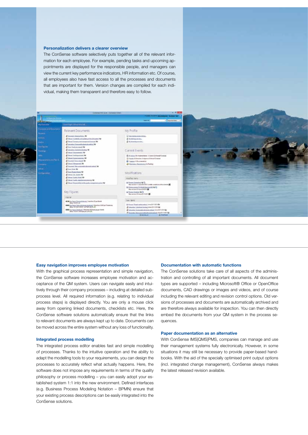#### **Personalization delivers a clearer overview**

Relevant Documents

Key Figures ingnal.

**eon** jalan Jee

**DESCRIPTION VALUES** 000 (milest loanse Moore) 21

er de

The ConSense software selectively puts together all of the relevant information for each employee. For example, pending tasks and upcoming appointments are displayed for the responsible people, and managers can view the current key performance indicators, HR information etc. Of course, all employees also have fast access to all the processes and documents that are important for them. Version changes are compiled for each individual, making them transparent and therefore easy to follow.

My Profile

Current Events

Modifications boter rent a han tanisa 40 D Linn point 1. 1944 here a Seaton 4-1)<br>anno 21 ann 21 ann 21

to terri

#### **Easy navigation improves employee motivation**

With the graphical process representation and simple navigation, the ConSense software increases employee motivation and acceptance of the QM system. Users can navigate easily and intuitively through their company processes – including at detailed subprocess level. All required information (e.g. relating to individual process steps) is displayed directly. You are only a mouse click away from opening linked documents, checklists etc. Here, the ConSense software solutions automatically ensure that the links to relevant documents are always kept up to date. Documents can be moved across the entire system without any loss of functionality.

#### **Integrated process modelling**

The integrated process editor enables fast and simple modelling of processes. Thanks to the intuitive operation and the ability to adapt the modelling tools to your requirements, you can design the processes to accurately reflect what actually happens. Here, the software does not impose any requirements in terms of the quality philosophy or process modelling – you can easily adopt your established system 1:1 into the new environment. Defined interfaces (e.g. Business Process Modeling Notation – BPMN) ensure that your existing process descriptions can be easily integrated into the ConSense solutions.

#### **Documentation with automatic functions**

The ConSense solutions take care of all aspects of the administration and controlling of all important documents. All document types are supported – including Microsoft® Office or OpenOffice documents, CAD drawings or images and videos, and of course including the relevant editing and revision control options. Old versions of processes and documents are automatically archived and are therefore always available for inspection. You can then directly embed the documents from your QM system in the process sequences.

#### **Paper documentation as an alternative**

With ConSense IMS|QMS|PMS, companies can manage and use their management systems fully electronically. However, in some situations it may still be necessary to provide paper-based handbooks. With the aid of the specially optimised print output options (incl. integrated change management), ConSense always makes the latest released revision available.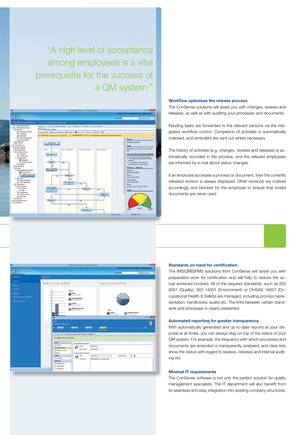"A high level of acceptance among employees is a vital prerequisite for the success of a QM system."



## **Workflow optimises the release process**

The ConSense solutions will assist you with changes, reviews and releases, as well as with auditing your processes and documents.

Pending tasks are forwarded to the relevant persons via the integrated workflow control. Completion of activities is automatically checked, and reminders are sent out where necessary.

The history of activities (e.g. changes, reviews and releases) is automatically recorded in the process, and the relevant employees are informed by e-mail about status changes.

If an employee accesses a process or document, then the currently released revision is always displayed. Other revisions are marked accordingly and blocked for the employee to ensure that invalid documents are never used.



#### **Standards on hand for certification**

The IMS|QMS|PMS solutions from ConSense will assist you with preparation work for certification and will help to reduce the actual workload involved. All of the required standards, such as ISO 9001 (Quality), ISO 14001 (Environment) or OHSAS 18001 (Occupational Health & Safety) are managed, including process representation, handbooks, audits etc. The links between certain standards and processes is clearly presented.

## **Automated reporting for greater transparency**

With automatically generated and up-to-date reports at your disposal at all times, you can always stay on top of the status of your QM system. For example, the frequency with which processes and documents are amended is transparently analysed, and clear lists show the status with regard to reviews, releases and internal auditing etc.

### **Minimal IT requirements**

The ConSense software is not only the perfect solution for quality management specialists. The IT department will also benefit from its seamless and easy integration into existing company structures.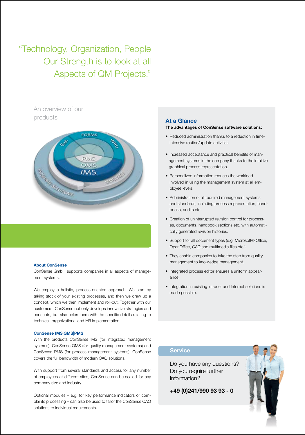"Technology, Organization, People Our Strength is to look at all Aspects of QM Projects."

> An overview of our products **At a Glance**



#### **About ConSense**

ConSense GmbH supports companies in all aspects of management systems.

We employ a holistic, process-oriented approach. We start by taking stock of your existing processes, and then we draw up a concept, which we then implement and roll-out. Together with our customers, ConSense not only develops innovative strategies and concepts, but also helps them with the specific details relating to technical, organizational and HR implementation.

#### **ConSense IMS|QMS|PMS**

With the products ConSense IMS (for integrated management systems), ConSense QMS (for quality management systems) and ConSense PMS (for process management systems), ConSense covers the full bandwidth of modern CAQ solutions.

With support from several standards and access for any number of employees at different sites, ConSense can be scaled for any company size and industry.

Optional modules – e.g. for key performance indicators or complaints processing – can also be used to tailor the ConSense CAQ solutions to individual requirements.

### **The advantages of ConSense software solutions:**

- Reduced administration thanks to a reduction in timeintensive routine/update activities.
- Increased acceptance and practical benefits of management systems in the company thanks to the intuitive graphical process representation.
- Personalized information reduces the workload involved in using the management system at all employee levels.
- Administration of all required management systems and standards, including process representation, handbooks, audits etc.
- Creation of uninterrupted revision control for processes, documents, handbook sections etc. with automatically generated revision histories.
- Support for all document types (e.g. Microsoft® Office, OpenOffice, CAD and multimedia files etc.).
- They enable companies to take the step from quality management to knowledge management.
- Integrated process editor ensures a uniform appearance.
- Integration in existing Intranet and Internet solutions is made possible.

# **Service**

Do you have any questions? Do you require further information?

**+49 (0)241/990 93 93 - 0**